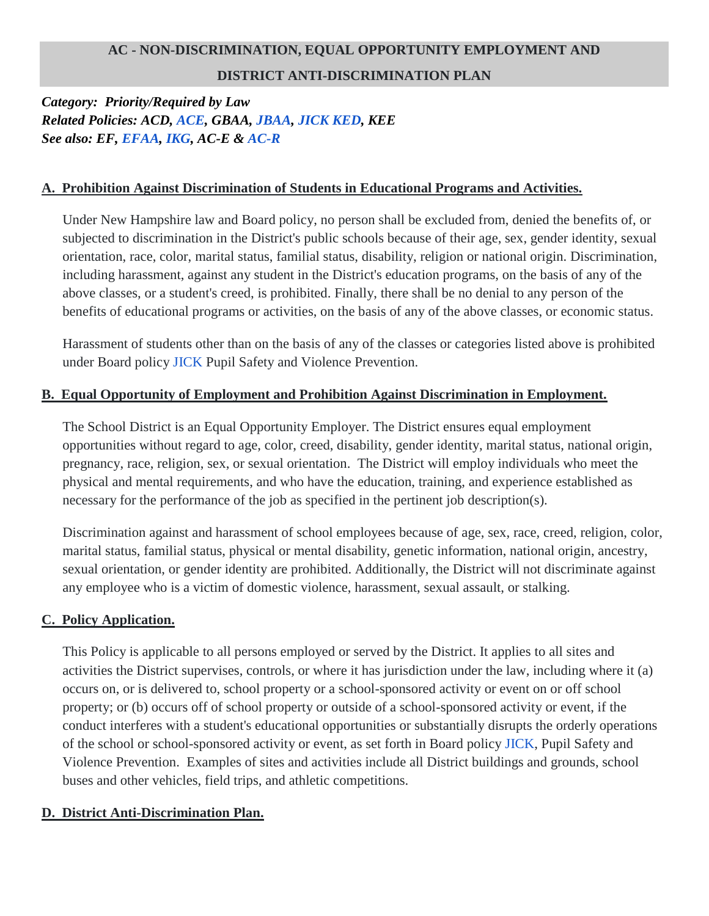# *Category: Priority/Required by Law Related Policies: ACD, [ACE,](https://z2policy.ctspublish.com/policy/doccode=z20000025&z2collection=nhsba#JD_ACE) GBAA, [JBAA,](https://z2policy.ctspublish.com/policy/doccode=z20000346&z2collection=nhsba#JD_JBAA) [JICK](https://z2policy.ctspublish.com/policy/doccode=z20000397&z2collection=nhsba#JD_JICK) [KED,](https://z2policy.ctspublish.com/policy/doccode=z20000473&z2collection=nhsba#JD_KED) KEE See also: EF, [EFAA,](https://z2policy.ctspublish.com/policy/doccode=z20000184&z2collection=nhsba#JD_EFAA) [IKG,](https://z2policy.ctspublish.com/policy/doccode=z20000330&z2collection=nhsba#JD_IKG) AC-E & [AC-R](https://z2policy.ctspublish.com/policy/doccode=z20000491&z2collection=nhsba#JD_AC-R)*

## **A. Prohibition Against Discrimination of Students in Educational Programs and Activities.**

Under New Hampshire law and Board policy, no person shall be excluded from, denied the benefits of, or subjected to discrimination in the District's public schools because of their age, sex, gender identity, sexual orientation, race, color, marital status, familial status, disability, religion or national origin. Discrimination, including harassment, against any student in the District's education programs, on the basis of any of the above classes, or a student's creed, is prohibited. Finally, there shall be no denial to any person of the benefits of educational programs or activities, on the basis of any of the above classes, or economic status.

Harassment of students other than on the basis of any of the classes or categories listed above is prohibited under Board policy [JICK](https://z2policy.ctspublish.com/policy/doccode=z20000397&z2collection=nhsba#JD_JICK) Pupil Safety and Violence Prevention.

## **B. Equal Opportunity of Employment and Prohibition Against Discrimination in Employment.**

The School District is an Equal Opportunity Employer. The District ensures equal employment opportunities without regard to age, color, creed, disability, gender identity, marital status, national origin, pregnancy, race, religion, sex, or sexual orientation. The District will employ individuals who meet the physical and mental requirements, and who have the education, training, and experience established as necessary for the performance of the job as specified in the pertinent job description(s).

Discrimination against and harassment of school employees because of age, sex, race, creed, religion, color, marital status, familial status, physical or mental disability, genetic information, national origin, ancestry, sexual orientation, or gender identity are prohibited. Additionally, the District will not discriminate against any employee who is a victim of domestic violence, harassment, sexual assault, or stalking.

## **C. Policy Application.**

This Policy is applicable to all persons employed or served by the District. It applies to all sites and activities the District supervises, controls, or where it has jurisdiction under the law, including where it (a) occurs on, or is delivered to, school property or a school-sponsored activity or event on or off school property; or (b) occurs off of school property or outside of a school-sponsored activity or event, if the conduct interferes with a student's educational opportunities or substantially disrupts the orderly operations of the school or school-sponsored activity or event, as set forth in Board policy [JICK,](https://z2policy.ctspublish.com/policy/doccode=z20000397&z2collection=nhsba#JD_JICK) Pupil Safety and Violence Prevention. Examples of sites and activities include all District buildings and grounds, school buses and other vehicles, field trips, and athletic competitions.

#### **D. District Anti-Discrimination Plan.**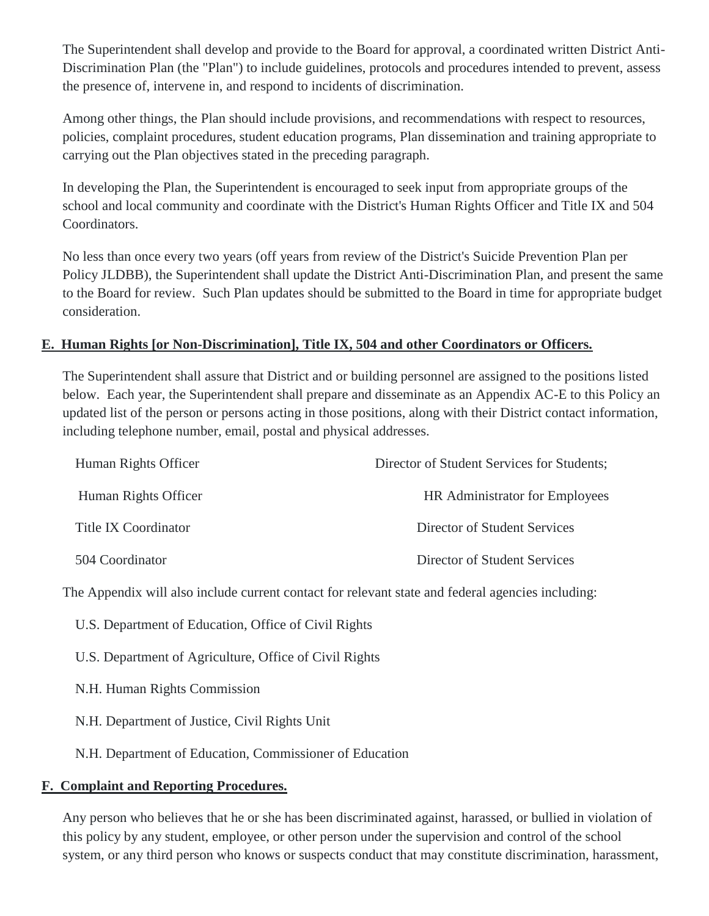The Superintendent shall develop and provide to the Board for approval, a coordinated written District Anti-Discrimination Plan (the "Plan") to include guidelines, protocols and procedures intended to prevent, assess the presence of, intervene in, and respond to incidents of discrimination.

Among other things, the Plan should include provisions, and recommendations with respect to resources, policies, complaint procedures, student education programs, Plan dissemination and training appropriate to carrying out the Plan objectives stated in the preceding paragraph.

In developing the Plan, the Superintendent is encouraged to seek input from appropriate groups of the school and local community and coordinate with the District's Human Rights Officer and Title IX and 504 Coordinators.

No less than once every two years (off years from review of the District's Suicide Prevention Plan per Policy JLDBB), the Superintendent shall update the District Anti-Discrimination Plan, and present the same to the Board for review. Such Plan updates should be submitted to the Board in time for appropriate budget consideration.

## **E. Human Rights [or Non-Discrimination], Title IX, 504 and other Coordinators or Officers.**

The Superintendent shall assure that District and or building personnel are assigned to the positions listed below. Each year, the Superintendent shall prepare and disseminate as an Appendix AC-E to this Policy an updated list of the person or persons acting in those positions, along with their District contact information, including telephone number, email, postal and physical addresses.

| Human Rights Officer | Director of Student Services for Students; |
|----------------------|--------------------------------------------|
| Human Rights Officer | <b>HR</b> Administrator for Employees      |
| Title IX Coordinator | Director of Student Services               |
| 504 Coordinator      | Director of Student Services               |

The Appendix will also include current contact for relevant state and federal agencies including:

U.S. Department of Education, Office of Civil Rights

U.S. Department of Agriculture, Office of Civil Rights

- N.H. Human Rights Commission
- N.H. Department of Justice, Civil Rights Unit
- N.H. Department of Education, Commissioner of Education

#### **F. Complaint and Reporting Procedures.**

Any person who believes that he or she has been discriminated against, harassed, or bullied in violation of this policy by any student, employee, or other person under the supervision and control of the school system, or any third person who knows or suspects conduct that may constitute discrimination, harassment,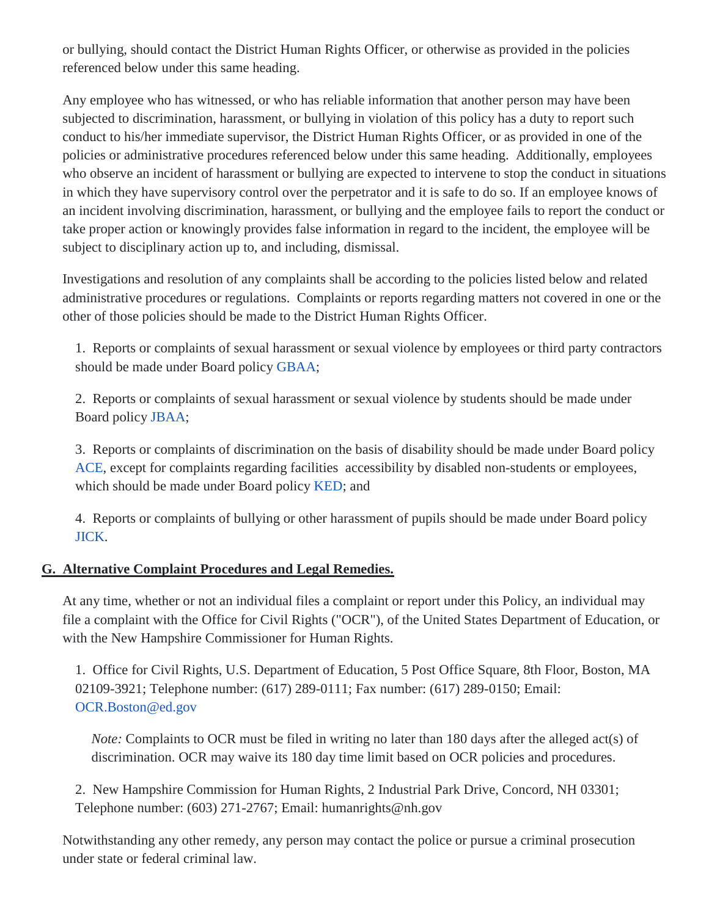or bullying, should contact the District Human Rights Officer, or otherwise as provided in the policies referenced below under this same heading.

Any employee who has witnessed, or who has reliable information that another person may have been subjected to discrimination, harassment, or bullying in violation of this policy has a duty to report such conduct to his/her immediate supervisor, the District Human Rights Officer, or as provided in one of the policies or administrative procedures referenced below under this same heading. Additionally, employees who observe an incident of harassment or bullying are expected to intervene to stop the conduct in situations in which they have supervisory control over the perpetrator and it is safe to do so. If an employee knows of an incident involving discrimination, harassment, or bullying and the employee fails to report the conduct or take proper action or knowingly provides false information in regard to the incident, the employee will be subject to disciplinary action up to, and including, dismissal.

Investigations and resolution of any complaints shall be according to the policies listed below and related administrative procedures or regulations. Complaints or reports regarding matters not covered in one or the other of those policies should be made to the District Human Rights Officer.

1. Reports or complaints of sexual harassment or sexual violence by employees or third party contractors should be made under Board policy [GBAA;](https://z2policy.ctspublish.com/policy/doccode=z20000212&z2collection=nhsba#JD_GBAA)

2. Reports or complaints of sexual harassment or sexual violence by students should be made under Board policy [JBAA;](https://z2policy.ctspublish.com/policy/doccode=z20000346&z2collection=nhsba#JD_JBAA)

3. Reports or complaints of discrimination on the basis of disability should be made under Board policy [ACE,](https://z2policy.ctspublish.com/policy/doccode=z20000025&z2collection=nhsba#JD_ACE) except for complaints regarding facilities accessibility by disabled non-students or employees, which should be made under Board policy [KED;](https://z2policy.ctspublish.com/policy/doccode=z20000473&z2collection=nhsba#JD_KED) and

4. Reports or complaints of bullying or other harassment of pupils should be made under Board policy [JICK.](https://z2policy.ctspublish.com/policy/doccode=z20000397&z2collection=nhsba#JD_JICK)

## **G. Alternative Complaint Procedures and Legal Remedies.**

At any time, whether or not an individual files a complaint or report under this Policy, an individual may file a complaint with the Office for Civil Rights ("OCR"), of the United States Department of Education, or with the New Hampshire Commissioner for Human Rights.

1. Office for Civil Rights, U.S. Department of Education, 5 Post Office Square, 8th Floor, Boston, MA 02109-3921; Telephone number: (617) 289-0111; Fax number: (617) 289-0150; Email: [OCR.Boston@ed.gov](http://OCR.Boston@ed.gov/)

*Note:* Complaints to OCR must be filed in writing no later than 180 days after the alleged act(s) of discrimination. OCR may waive its 180 day time limit based on OCR policies and procedures.

2. New Hampshire Commission for Human Rights, 2 Industrial Park Drive, Concord, NH 03301; Telephone number: (603) 271-2767; Email: humanrights@nh.gov

Notwithstanding any other remedy, any person may contact the police or pursue a criminal prosecution under state or federal criminal law.